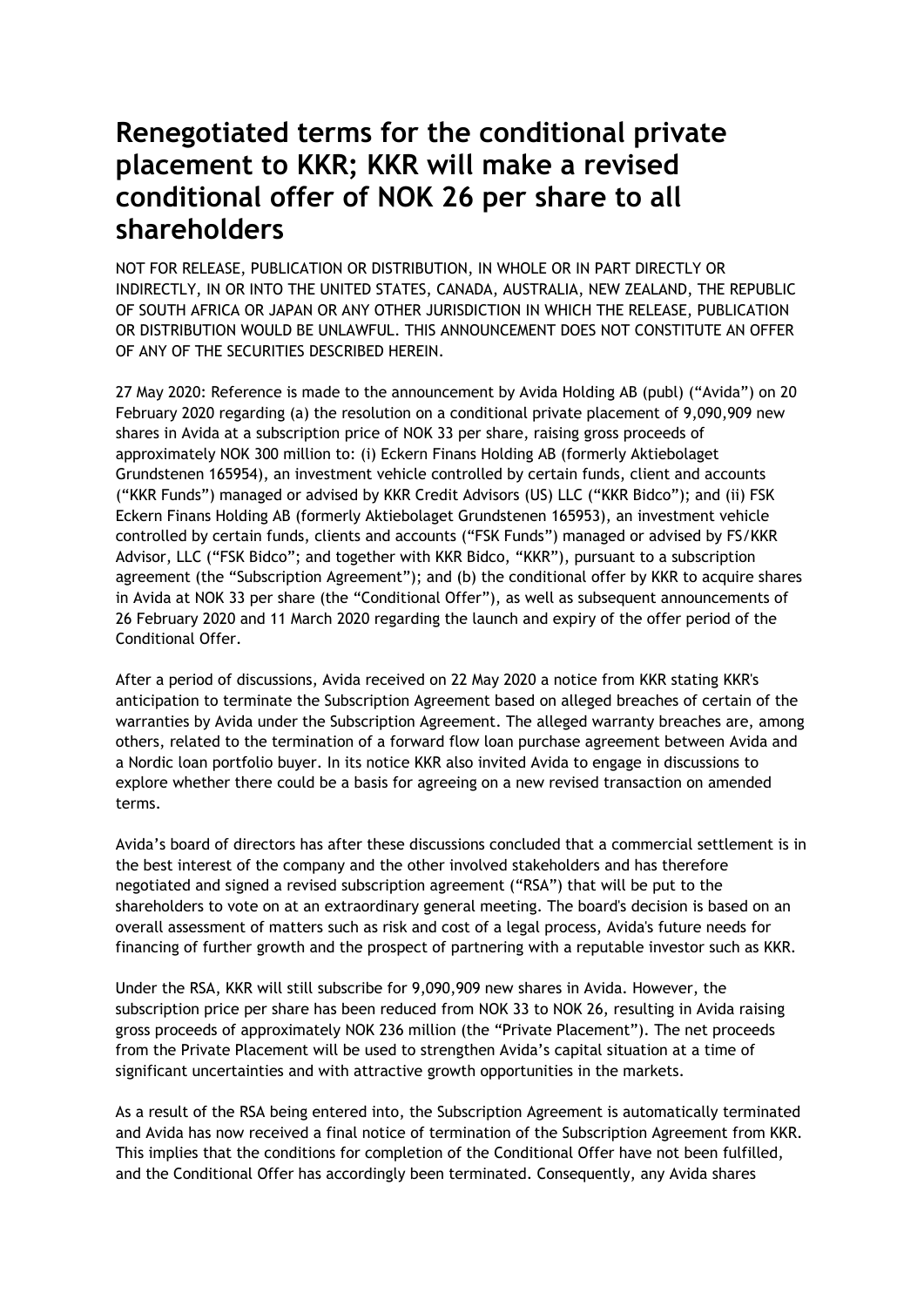## **Renegotiated terms for the conditional private placement to KKR; KKR will make a revised conditional offer of NOK 26 per share to all shareholders**

NOT FOR RELEASE, PUBLICATION OR DISTRIBUTION, IN WHOLE OR IN PART DIRECTLY OR INDIRECTLY, IN OR INTO THE UNITED STATES, CANADA, AUSTRALIA, NEW ZEALAND, THE REPUBLIC OF SOUTH AFRICA OR JAPAN OR ANY OTHER JURISDICTION IN WHICH THE RELEASE, PUBLICATION OR DISTRIBUTION WOULD BE UNLAWFUL. THIS ANNOUNCEMENT DOES NOT CONSTITUTE AN OFFER OF ANY OF THE SECURITIES DESCRIBED HEREIN.

27 May 2020: Reference is made to the announcement by Avida Holding AB (publ) ("Avida") on 20 February 2020 regarding (a) the resolution on a conditional private placement of 9,090,909 new shares in Avida at a subscription price of NOK 33 per share, raising gross proceeds of approximately NOK 300 million to: (i) Eckern Finans Holding AB (formerly Aktiebolaget Grundstenen 165954), an investment vehicle controlled by certain funds, client and accounts ("KKR Funds") managed or advised by KKR Credit Advisors (US) LLC ("KKR Bidco"); and (ii) FSK Eckern Finans Holding AB (formerly Aktiebolaget Grundstenen 165953), an investment vehicle controlled by certain funds, clients and accounts ("FSK Funds") managed or advised by FS/KKR Advisor, LLC ("FSK Bidco"; and together with KKR Bidco, "KKR"), pursuant to a subscription agreement (the "Subscription Agreement"); and (b) the conditional offer by KKR to acquire shares in Avida at NOK 33 per share (the "Conditional Offer"), as well as subsequent announcements of 26 February 2020 and 11 March 2020 regarding the launch and expiry of the offer period of the Conditional Offer.

After a period of discussions, Avida received on 22 May 2020 a notice from KKR stating KKR's anticipation to terminate the Subscription Agreement based on alleged breaches of certain of the warranties by Avida under the Subscription Agreement. The alleged warranty breaches are, among others, related to the termination of a forward flow loan purchase agreement between Avida and a Nordic loan portfolio buyer. In its notice KKR also invited Avida to engage in discussions to explore whether there could be a basis for agreeing on a new revised transaction on amended terms.

Avida's board of directors has after these discussions concluded that a commercial settlement is in the best interest of the company and the other involved stakeholders and has therefore negotiated and signed a revised subscription agreement ("RSA") that will be put to the shareholders to vote on at an extraordinary general meeting. The board's decision is based on an overall assessment of matters such as risk and cost of a legal process, Avida's future needs for financing of further growth and the prospect of partnering with a reputable investor such as KKR.

Under the RSA, KKR will still subscribe for 9,090,909 new shares in Avida. However, the subscription price per share has been reduced from NOK 33 to NOK 26, resulting in Avida raising gross proceeds of approximately NOK 236 million (the "Private Placement"). The net proceeds from the Private Placement will be used to strengthen Avida's capital situation at a time of significant uncertainties and with attractive growth opportunities in the markets.

As a result of the RSA being entered into, the Subscription Agreement is automatically terminated and Avida has now received a final notice of termination of the Subscription Agreement from KKR. This implies that the conditions for completion of the Conditional Offer have not been fulfilled, and the Conditional Offer has accordingly been terminated. Consequently, any Avida shares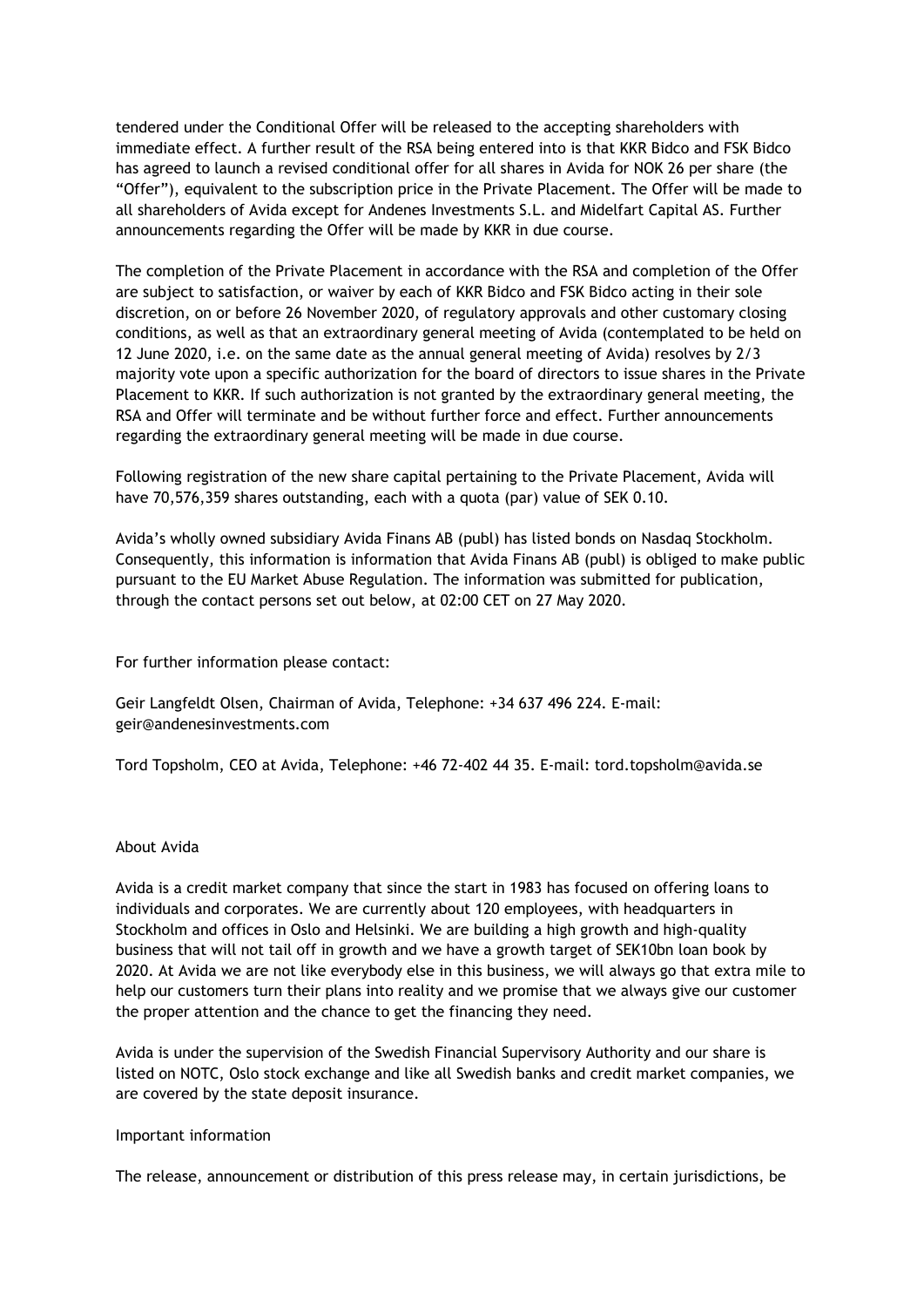tendered under the Conditional Offer will be released to the accepting shareholders with immediate effect. A further result of the RSA being entered into is that KKR Bidco and FSK Bidco has agreed to launch a revised conditional offer for all shares in Avida for NOK 26 per share (the "Offer"), equivalent to the subscription price in the Private Placement. The Offer will be made to all shareholders of Avida except for Andenes Investments S.L. and Midelfart Capital AS. Further announcements regarding the Offer will be made by KKR in due course.

The completion of the Private Placement in accordance with the RSA and completion of the Offer are subject to satisfaction, or waiver by each of KKR Bidco and FSK Bidco acting in their sole discretion, on or before 26 November 2020, of regulatory approvals and other customary closing conditions, as well as that an extraordinary general meeting of Avida (contemplated to be held on 12 June 2020, i.e. on the same date as the annual general meeting of Avida) resolves by 2/3 majority vote upon a specific authorization for the board of directors to issue shares in the Private Placement to KKR. If such authorization is not granted by the extraordinary general meeting, the RSA and Offer will terminate and be without further force and effect. Further announcements regarding the extraordinary general meeting will be made in due course.

Following registration of the new share capital pertaining to the Private Placement, Avida will have 70,576,359 shares outstanding, each with a quota (par) value of SEK 0.10.

Avida's wholly owned subsidiary Avida Finans AB (publ) has listed bonds on Nasdaq Stockholm. Consequently, this information is information that Avida Finans AB (publ) is obliged to make public pursuant to the EU Market Abuse Regulation. The information was submitted for publication, through the contact persons set out below, at 02:00 CET on 27 May 2020.

For further information please contact:

Geir Langfeldt Olsen, Chairman of Avida, Telephone: +34 637 496 224. E-mail: geir@andenesinvestments.com

Tord Topsholm, CEO at Avida, Telephone: +46 72-402 44 35. E-mail: tord.topsholm@avida.se

## About Avida

Avida is a credit market company that since the start in 1983 has focused on offering loans to individuals and corporates. We are currently about 120 employees, with headquarters in Stockholm and offices in Oslo and Helsinki. We are building a high growth and high-quality business that will not tail off in growth and we have a growth target of SEK10bn loan book by 2020. At Avida we are not like everybody else in this business, we will always go that extra mile to help our customers turn their plans into reality and we promise that we always give our customer the proper attention and the chance to get the financing they need.

Avida is under the supervision of the Swedish Financial Supervisory Authority and our share is listed on NOTC, Oslo stock exchange and like all Swedish banks and credit market companies, we are covered by the state deposit insurance.

## Important information

The release, announcement or distribution of this press release may, in certain jurisdictions, be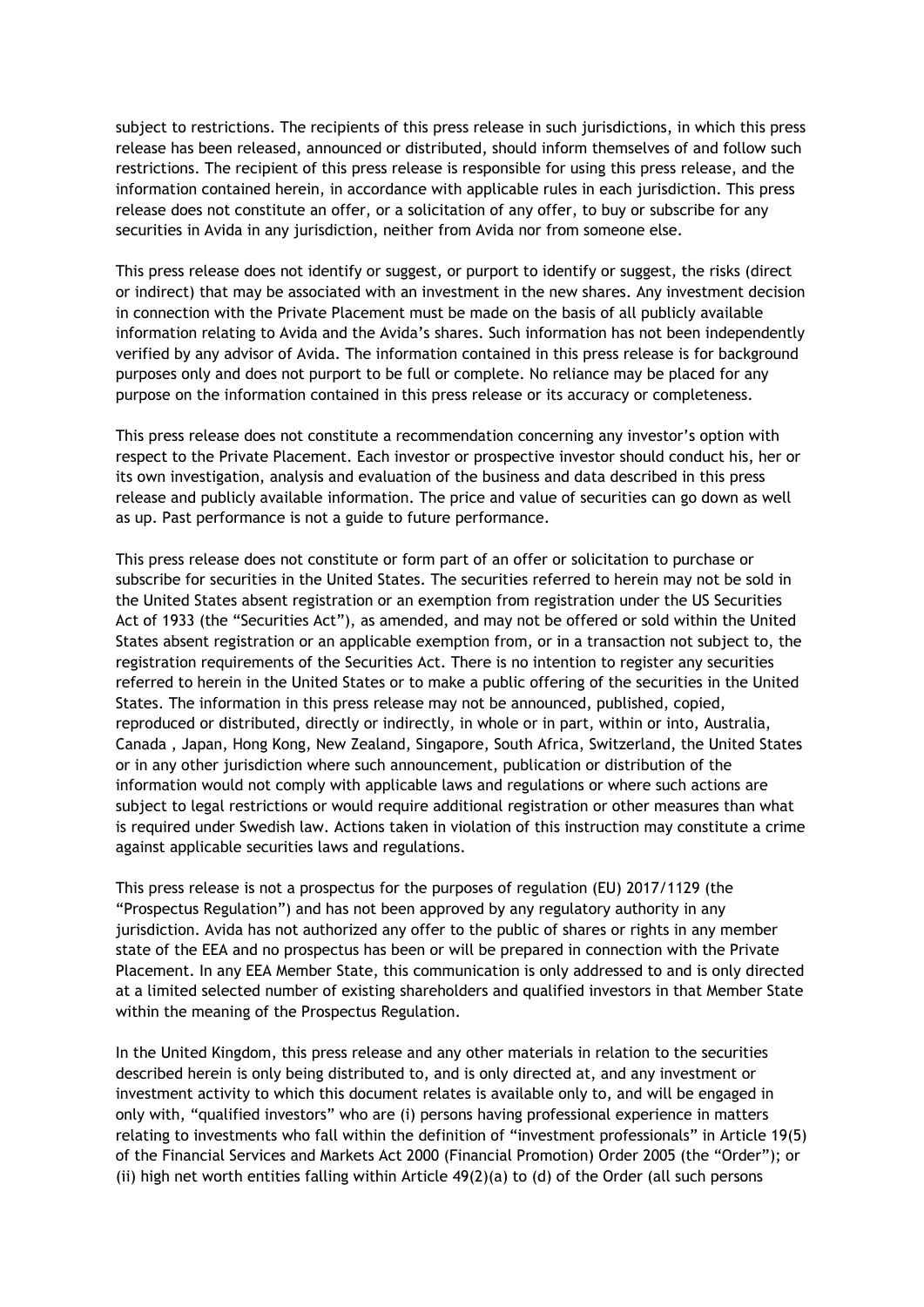subject to restrictions. The recipients of this press release in such jurisdictions, in which this press release has been released, announced or distributed, should inform themselves of and follow such restrictions. The recipient of this press release is responsible for using this press release, and the information contained herein, in accordance with applicable rules in each jurisdiction. This press release does not constitute an offer, or a solicitation of any offer, to buy or subscribe for any securities in Avida in any jurisdiction, neither from Avida nor from someone else.

This press release does not identify or suggest, or purport to identify or suggest, the risks (direct or indirect) that may be associated with an investment in the new shares. Any investment decision in connection with the Private Placement must be made on the basis of all publicly available information relating to Avida and the Avida's shares. Such information has not been independently verified by any advisor of Avida. The information contained in this press release is for background purposes only and does not purport to be full or complete. No reliance may be placed for any purpose on the information contained in this press release or its accuracy or completeness.

This press release does not constitute a recommendation concerning any investor's option with respect to the Private Placement. Each investor or prospective investor should conduct his, her or its own investigation, analysis and evaluation of the business and data described in this press release and publicly available information. The price and value of securities can go down as well as up. Past performance is not a guide to future performance.

This press release does not constitute or form part of an offer or solicitation to purchase or subscribe for securities in the United States. The securities referred to herein may not be sold in the United States absent registration or an exemption from registration under the US Securities Act of 1933 (the "Securities Act"), as amended, and may not be offered or sold within the United States absent registration or an applicable exemption from, or in a transaction not subject to, the registration requirements of the Securities Act. There is no intention to register any securities referred to herein in the United States or to make a public offering of the securities in the United States. The information in this press release may not be announced, published, copied, reproduced or distributed, directly or indirectly, in whole or in part, within or into, Australia, Canada , Japan, Hong Kong, New Zealand, Singapore, South Africa, Switzerland, the United States or in any other jurisdiction where such announcement, publication or distribution of the information would not comply with applicable laws and regulations or where such actions are subject to legal restrictions or would require additional registration or other measures than what is required under Swedish law. Actions taken in violation of this instruction may constitute a crime against applicable securities laws and regulations.

This press release is not a prospectus for the purposes of regulation (EU) 2017/1129 (the "Prospectus Regulation") and has not been approved by any regulatory authority in any jurisdiction. Avida has not authorized any offer to the public of shares or rights in any member state of the EEA and no prospectus has been or will be prepared in connection with the Private Placement. In any EEA Member State, this communication is only addressed to and is only directed at a limited selected number of existing shareholders and qualified investors in that Member State within the meaning of the Prospectus Regulation.

In the United Kingdom, this press release and any other materials in relation to the securities described herein is only being distributed to, and is only directed at, and any investment or investment activity to which this document relates is available only to, and will be engaged in only with, "qualified investors" who are (i) persons having professional experience in matters relating to investments who fall within the definition of "investment professionals" in Article 19(5) of the Financial Services and Markets Act 2000 (Financial Promotion) Order 2005 (the "Order"); or (ii) high net worth entities falling within Article 49(2)(a) to (d) of the Order (all such persons